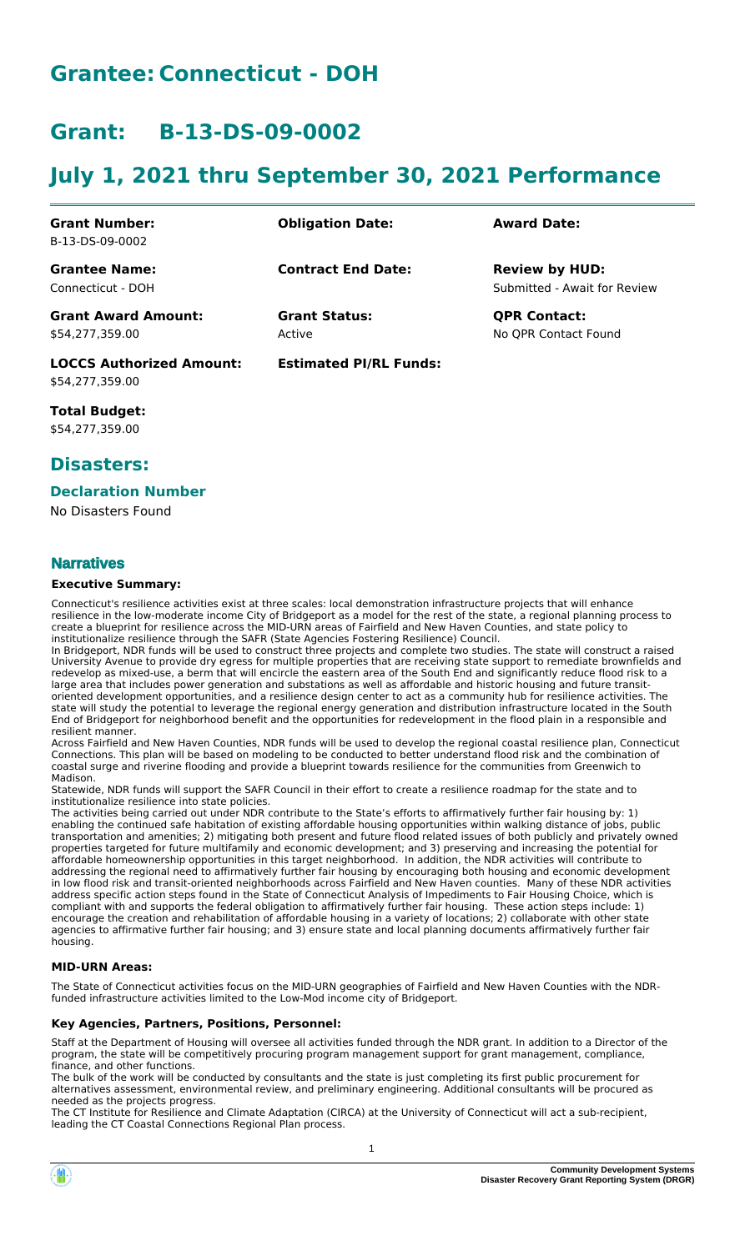# **Grantee: Connecticut - DOH**

# **Grant: B-13-DS-09-0002**

# **July 1, 2021 thru September 30, 2021 Performance**

| <b>Grant Number:</b>            | <b>Obligation Date:</b>       | <b>Award Date:</b>           |
|---------------------------------|-------------------------------|------------------------------|
| B-13-DS-09-0002                 |                               |                              |
| <b>Grantee Name:</b>            | <b>Contract End Date:</b>     | <b>Review by HUD:</b>        |
| Connecticut - DOH               |                               | Submitted - Await for Review |
| <b>Grant Award Amount:</b>      | <b>Grant Status:</b>          | <b>QPR Contact:</b>          |
| \$54,277,359.00                 | Active                        | No OPR Contact Found         |
| <b>LOCCS Authorized Amount:</b> | <b>Estimated PI/RL Funds:</b> |                              |

**Total Budget:** \$54,277,359.00

\$54,277,359.00

## **Disasters:**

### **Declaration Number**

No Disasters Found

### **Narratives**

#### **Executive Summary:**

Connecticut's resilience activities exist at three scales: local demonstration infrastructure projects that will enhance resilience in the low-moderate income City of Bridgeport as a model for the rest of the state, a regional planning process to create a blueprint for resilience across the MID-URN areas of Fairfield and New Haven Counties, and state policy to institutionalize resilience through the SAFR (State Agencies Fostering Resilience) Council.

In Bridgeport, NDR funds will be used to construct three projects and complete two studies. The state will construct a raised University Avenue to provide dry egress for multiple properties that are receiving state support to remediate brownfields and redevelop as mixed-use, a berm that will encircle the eastern area of the South End and significantly reduce flood risk to a large area that includes power generation and substations as well as affordable and historic housing and future transitoriented development opportunities, and a resilience design center to act as a community hub for resilience activities. The state will study the potential to leverage the regional energy generation and distribution infrastructure located in the South End of Bridgeport for neighborhood benefit and the opportunities for redevelopment in the flood plain in a responsible and resilient manner.

Across Fairfield and New Haven Counties, NDR funds will be used to develop the regional coastal resilience plan, Connecticut Connections. This plan will be based on modeling to be conducted to better understand flood risk and the combination of coastal surge and riverine flooding and provide a blueprint towards resilience for the communities from Greenwich to Madison.

Statewide, NDR funds will support the SAFR Council in their effort to create a resilience roadmap for the state and to institutionalize resilience into state policies.

The activities being carried out under NDR contribute to the State's efforts to affirmatively further fair housing by: 1) enabling the continued safe habitation of existing affordable housing opportunities within walking distance of jobs, public transportation and amenities; 2) mitigating both present and future flood related issues of both publicly and privately owned properties targeted for future multifamily and economic development; and 3) preserving and increasing the potential for affordable homeownership opportunities in this target neighborhood. In addition, the NDR activities will contribute to addressing the regional need to affirmatively further fair housing by encouraging both housing and economic development in low flood risk and transit-oriented neighborhoods across Fairfield and New Haven counties. Many of these NDR activities address specific action steps found in the State of Connecticut Analysis of Impediments to Fair Housing Choice, which is compliant with and supports the federal obligation to affirmatively further fair housing. These action steps include: 1) encourage the creation and rehabilitation of affordable housing in a variety of locations; 2) collaborate with other state agencies to affirmative further fair housing; and 3) ensure state and local planning documents affirmatively further fair housing.

### **MID-URN Areas:**

The State of Connecticut activities focus on the MID-URN geographies of Fairfield and New Haven Counties with the NDRfunded infrastructure activities limited to the Low-Mod income city of Bridgeport.

### **Key Agencies, Partners, Positions, Personnel:**

Staff at the Department of Housing will oversee all activities funded through the NDR grant. In addition to a Director of the program, the state will be competitively procuring program management support for grant management, compliance, finance, and other functions.

The bulk of the work will be conducted by consultants and the state is just completing its first public procurement for alternatives assessment, environmental review, and preliminary engineering. Additional consultants will be procured as needed as the projects progress.

The CT Institute for Resilience and Climate Adaptation (CIRCA) at the University of Connecticut will act a sub-recipient, leading the CT Coastal Connections Regional Plan process.

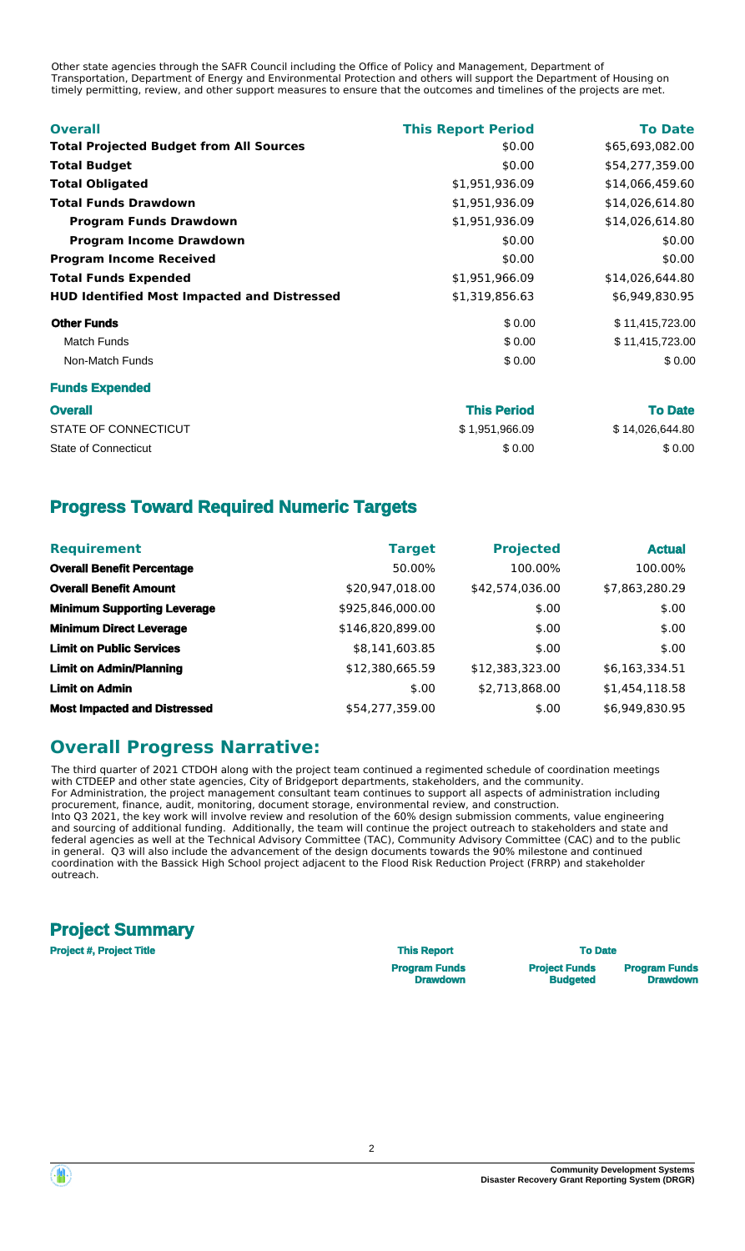Other state agencies through the SAFR Council including the Office of Policy and Management, Department of Transportation, Department of Energy and Environmental Protection and others will support the Department of Housing on timely permitting, review, and other support measures to ensure that the outcomes and timelines of the projects are met.

| <b>Overall</b>                                     | <b>This Report Period</b> | <b>To Date</b>  |
|----------------------------------------------------|---------------------------|-----------------|
| <b>Total Projected Budget from All Sources</b>     | \$0.00                    | \$65,693,082.00 |
| <b>Total Budget</b>                                | \$0.00                    | \$54,277,359.00 |
| <b>Total Obligated</b>                             | \$1,951,936.09            | \$14,066,459.60 |
| <b>Total Funds Drawdown</b>                        | \$1,951,936.09            | \$14,026,614.80 |
| <b>Program Funds Drawdown</b>                      | \$1,951,936.09            | \$14,026,614.80 |
| <b>Program Income Drawdown</b>                     | \$0.00                    | \$0.00          |
| <b>Program Income Received</b>                     | \$0.00                    | \$0.00          |
| <b>Total Funds Expended</b>                        | \$1,951,966.09            | \$14,026,644.80 |
| <b>HUD Identified Most Impacted and Distressed</b> | \$1,319,856.63            | \$6,949,830.95  |
| <b>Other Funds</b>                                 | \$0.00                    | \$11,415,723.00 |
| <b>Match Funds</b>                                 | \$0.00                    | \$11,415,723.00 |
| Non-Match Funds                                    | \$0.00                    | \$0.00          |
| <b>Funds Expended</b>                              |                           |                 |
| <b>Overall</b>                                     | <b>This Period</b>        | <b>To Date</b>  |
| STATE OF CONNECTICUT                               | \$1,951,966.09            | \$14,026,644.80 |

State of Connecticut  $$0.00$   $$0.00$ 

## **Progress Toward Required Numeric Targets**

| <b>Requirement</b>                  | <b>Target</b>    | <b>Projected</b> | <b>Actual</b>  |
|-------------------------------------|------------------|------------------|----------------|
| <b>Overall Benefit Percentage</b>   | 50.00%           | 100.00%          | 100.00%        |
| <b>Overall Benefit Amount</b>       | \$20,947,018.00  | \$42,574,036.00  | \$7,863,280.29 |
| <b>Minimum Supporting Leverage</b>  | \$925,846,000.00 | \$.00            | \$.00          |
| <b>Minimum Direct Leverage</b>      | \$146,820,899.00 | \$.00            | \$.00          |
| <b>Limit on Public Services</b>     | \$8,141,603.85   | \$.00            | \$.00          |
| <b>Limit on Admin/Planning</b>      | \$12,380,665.59  | \$12,383,323.00  | \$6,163,334.51 |
| <b>Limit on Admin</b>               | \$.00            | \$2,713,868.00   | \$1,454,118.58 |
| <b>Most Impacted and Distressed</b> | \$54,277,359.00  | \$.00            | \$6,949,830.95 |

## **Overall Progress Narrative:**

The third quarter of 2021 CTDOH along with the project team continued a regimented schedule of coordination meetings with CTDEEP and other state agencies, City of Bridgeport departments, stakeholders, and the community. For Administration, the project management consultant team continues to support all aspects of administration including procurement, finance, audit, monitoring, document storage, environmental review, and construction. Into Q3 2021, the key work will involve review and resolution of the 60% design submission comments, value engineering and sourcing of additional funding. Additionally, the team will continue the project outreach to stakeholders and state and federal agencies as well at the Technical Advisory Committee (TAC), Community Advisory Committee (CAC) and to the public in general. Q3 will also include the advancement of the design documents towards the 90% milestone and continued coordination with the Bassick High School project adjacent to the Flood Risk Reduction Project (FRRP) and stakeholder outreach.

# **Project Summary**

**Project #, Project Title This Report To Date**

**Program Funds Drawdown**

**Project Funds**

**Budgeted**

**Program Funds Drawdown**